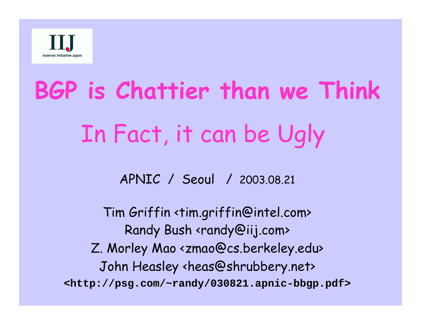## **BGP is Chattier than we Think** In Fact, it can be Ugly

APNIC / Seoul / 2003.08.21

Tim Griffin <tim.griffin@intel.com> Randy Bush <randy@iij.com> Z. Morley Mao <zmao@cs.berkeley.edu> John Heasley <heas@shrubbery.net> **<http://psg.com/~randy/030821.apnic-bbgp.pdf>**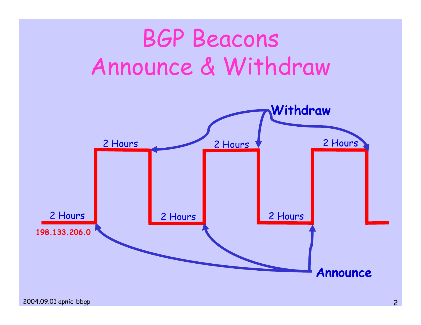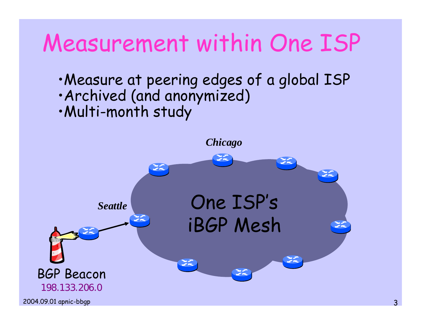## Measurement within One ISP

- •Measure at peering edges of a global ISP
- •Archived (and anonymized)
- •Multi-month study

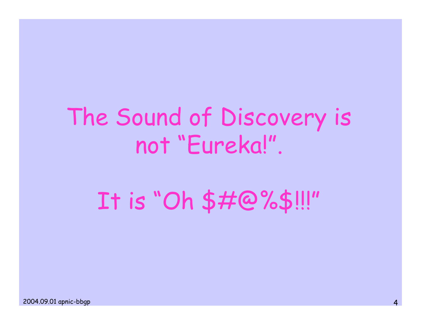## The Sound of Discovery is not "Eureka!".

## It is "Oh \$#@%\$!!!"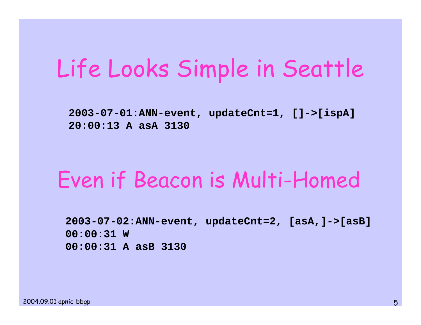### Life Looks Simple in Seattle

**2003-07-01:ANN-event, updateCnt=1, []->[ispA] 20:00:13 A asA 3130**

#### Even if Beacon is Multi-Homed

**2003-07-02:ANN-event, updateCnt=2, [asA,]->[asB] 00:00:31 W00:00:31 A asB 3130**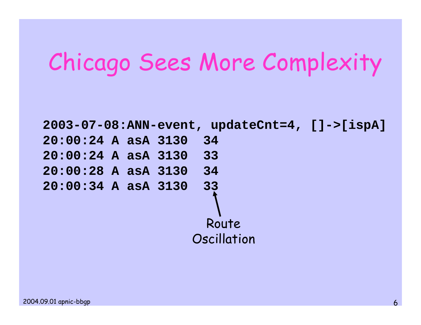## Chicago Sees More Complexity

**2003-07-08:ANN-event, updateCnt=4, []->[ispA] 20:00:24 A asA 3130 3420:00:24 A asA 3130 3320:00:28 A asA 3130 3420:00:34 A asA 3130 33**33 Route **Oscillation**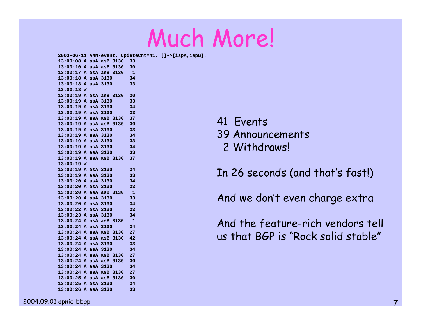#### Much More!

**2003-06-11:ANN-event, updateCnt=41, []->[ispA,ispB]. 13:00:08 A asA asB 3130 3313:00:10 A asA asB 3130 3013:00:17 A asA asB 3130 113:00:18 A asA 3130 3413:00:18 A asA 3130 3313:00:18 W 13:00:19 A asA asB 3130 3013:00:19 A asA 3130 3313:00:19 A asA 3130 3413:00:19 A asA 3130 3313:00:19 A asA asB 3130 3713:00:19 A asA asB 3130 3013:00:19 A asA 3130 3313:00:19 A asA 3130 3413:00:19 A asA 3130 3313:00:19 A asA 3130 3413:00:19 A asA 3130 3313:00:19 A asA asB 3130 3713:00:19 W 13:00:19 A asA 3130 3413:00:19 A asA 3130 3313:00:20 A asA 3130 3413:00:20 A asA 3130 3313:00:20 A asA asB 3130 113:00:20 A asA 3130 3313:00:20 A asA 3130 3413:00:22 A asA 3130 3313:00:23 A asA 3130 3413:00:24 A asA asB 3130 113:00:24 A asA 3130 3413:00:24 A asA asB 3130 2713:00:24 A asA asB 3130 4213:00:24 A asA 3130 3313:00:24 A asA 3130 3413:00:24 A asA asB 3130 2713:00:24 A asA asB 3130 3013:00:24 A asA 3130 3413:00:24 A asA asB 3130 2713:00:25 A asA asB 3130 3013:00:25 A asA 3130 3413:00:26 A asA 3130 33**

41 Events 39 Announcements 2 Withdraws!

In 26 seconds (and that's fast!)

And we don't even charge extra

And the feature-rich vendors tell us that BGP is "Rock solid stable"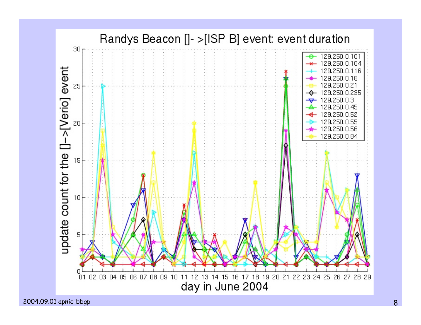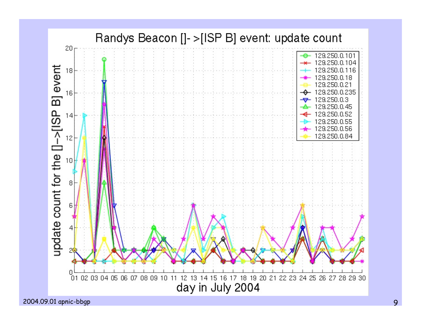